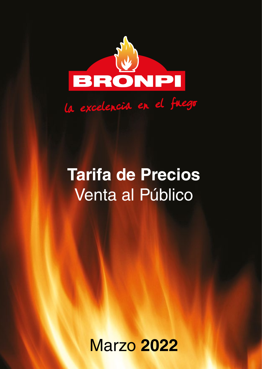

La excelencia en el fuego

# **Tarifa de Precios** Venta al Público

Marzo **2022**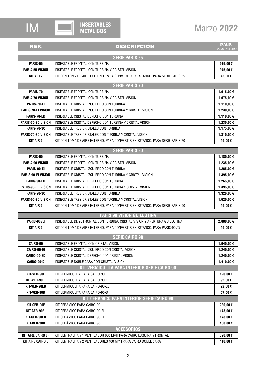

### REF. PEREMIX EN ENTRETA EL ENTRETA DESCRIPCIÓN

**P.V.P.**<br>IVA NO INCLUIDO

| <b>SERIE PARIS 55</b>  |                                                                              |         |
|------------------------|------------------------------------------------------------------------------|---------|
| PARIS-55               | INSERTABLE FRONTAL CON TURBINA                                               | 915.00€ |
| <b>PARIS-55 VISION</b> | INSERTABLE FRONTAL CON TURBINA Y CRISTAL VISION                              | 975.00€ |
| <b>KIT AIR 2</b>       | KIT CON TOMA DE AIRE EXTERNO. PARA CONVERTIR EN ESTANCO. PARA SERIE PARIS 55 | 45,00 € |

| <b>SERIE PARIS 70</b>     |                                                                              |           |
|---------------------------|------------------------------------------------------------------------------|-----------|
| PARIS-70                  | INSERTABLE FRONTAL CON TURBINA                                               | 1.015,00€ |
| <b>PARIS-70 VISION</b>    | INSERTABLE FRONTAL CON TURBINA Y CRISTAL VISION                              | 1.075,00€ |
| PARIS-70-EI               | INSERTABLE CRISTAL IZQUIERDO CON TURBINA                                     | 1.110,00€ |
| <b>PARIS-70-ELVISION</b>  | INSERTABLE CRISTAL IZQUIERDO CON TURBINA Y CRISTAL VISION                    | 1.230,00€ |
| PARIS-70-ED               | INSERTABLE CRISTAL DERECHO CON TURBINA                                       | 1.110,00€ |
| <b>PARIS-70-ED VISION</b> | INSERTABLE CRISTAL DERECHO CON TURBINA Y CRISTAL VISION                      | 1.230,00€ |
| <b>PARIS-70-3C</b>        | INSERTABLE TRES CRISTALES CON TURBINA                                        | 1.175,00€ |
| <b>PARIS-70-3C VISION</b> | INSERTABLE TRES CRISTALES CON TURBINA Y CRISTAL VISION                       | 1.310,00€ |
| KIT AIR 2                 | KIT CON TOMA DE AIRE EXTERNO. PARA CONVERTIR EN ESTANCO. PARA SERIE PARIS 70 | 45,00€    |

| <b>SERIE PARIS 90</b>     |                                                                              |            |
|---------------------------|------------------------------------------------------------------------------|------------|
| PARIS-90                  | INSERTABLE FRONTAL CON TURBINA                                               | 1.180,00 € |
| <b>PARIS-90 VISION</b>    | INSERTABLE FRONTAL CON TURBINA Y CRISTAL VISION                              | 1.235,00 € |
| PARIS-90-EI               | INSERTABLE CRISTAL IZQUIERDO CON TURBINA                                     | 1.265,00€  |
| <b>PARIS-90-EI VISION</b> | INSERTABLE CRISTAL IZQUIERDO CON TURBINA Y CRISTAL VISION                    | 1.395,00 € |
| PARIS-90-ED               | INSERTABLE CRISTAL DERECHO CON TURBINA                                       | 1.265,00€  |
| PARIS-90-ED VISION        | INSERTABLE CRISTAL DERECHO CON TURBINA Y CRISTAL VISION                      | 1.395.00€  |
| PARIS-90-3C               | INSERTABLE TRES CRISTALES CON TURBINA                                        | 1.326,00€  |
| <b>PARIS-90-3C VISION</b> | INSERTABLE TRES CRISTALES CON TURBINA Y CRISTAL VISION                       | 1.520,00€  |
| <b>KIT AIR 2</b>          | KIT CON TOMA DE AIRE EXTERNO. PARA CONVERTIR EN ESTANCO. PARA SERIE PARIS 90 | 45,00€     |

| <b>PARIS 90 VISION GUILLOTINA</b> |                                                                              |            |
|-----------------------------------|------------------------------------------------------------------------------|------------|
| PARIS-90VG                        | I INSERTABLE DE 90 FRONTAL CON TURBINA, CRISTAL VISION Y APERTURA GUILLOTINA | 2.080.00 € |
| <b>KIT AIR 2</b>                  | KIT CON TOMA DE AIRE EXTERNO. PARA CONVERTIR EN ESTANCO. PARA PARIS-90VG     | 45.00€     |

|                          | <b>SERIE CAIRO 90</b>                                                            |                  |
|--------------------------|----------------------------------------------------------------------------------|------------------|
| CAIRO-90                 | INSERTABLE FRONTAL CON CRISTAL VISION                                            | 1.040,00€        |
| <b>CAIRO-90-EI</b>       | INSERTABLE CRISTAL IZQUIERDO CON CRISTAL VISION                                  | 1.240,00 €       |
| CAIRO-90-ED              | INSERTABLE CRISTAL DERECHO CON CRISTAL VISION                                    | 1.240,00 €       |
| CAIRO-90-D               | INSERTABLE DOBLE CARA CON CRISTAL VISION                                         | 1.410,00 €       |
|                          | KIT VERMICULITA PARA INTERIOR SERIE CAIRO 90                                     |                  |
| KIT-VER-90F              | KIT VERMICULITA PARA CAIRO-90                                                    | 120,00€          |
| KIT-VER-90EI             | KIT VERMICULITA PARA CAIRO-90-EI                                                 | 92,00 $\epsilon$ |
| KIT-VER-90ED             | KIT VERMICULITA PARA CAIRO-90-ED                                                 | 92,00 $\epsilon$ |
| KIT-VER-90D              | KIT VERMICULITA PARA CAIRO-90-D                                                  | 87,00€           |
|                          | KIT CERÁMICO PARA INTERIOR SERIE CAIRO 90                                        |                  |
| KIT-CER-90F              | KIT CERÁMICO PARA CAIRO-90                                                       | 220,00€          |
| KIT-CER-90EI             | KIT CERÁMICO PARA CAIRO-90-EI                                                    | 178,00€          |
| KIT-CER-90ED             | KIT CERÁMICO PARA CAIRO-90-ED                                                    | 178,00€          |
| KIT-CER-90D              | KIT CERÁMICO PARA CAIRO-90-D                                                     | 130,00€          |
|                          | <b>ACCESORIOS</b>                                                                |                  |
| <b>KIT AIRE CAIRO EF</b> | KIT CENTRALITA + 1 VENTILADOR 680 M <sup>3</sup> /H PARA CAIRO ESQUINA Y FRONTAL | 390,00€          |
| <b>KIT AIRE CAIRO D</b>  | KIT CENTRALITA + 2 VENTILADORES 400 M <sup>3</sup> /H PARA CAIRO DOBLE CARA      | 410,00€          |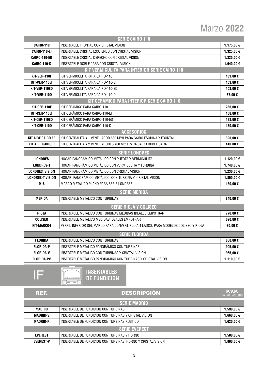| <b>SERIE CAIRO 110</b>   |                                                                                    |            |
|--------------------------|------------------------------------------------------------------------------------|------------|
| <b>CAIRO-110</b>         | INSERTABLE FRONTAL CON CRISTAL VISION                                              | 1.175,00 € |
| <b>CAIRO-110-EI</b>      | INSERTABLE CRISTAL IZQUIERDO CON CRISTAL VISION                                    | 1.325,00€  |
| <b>CAIRO-110-ED</b>      | INSERTABLE CRISTAL DERECHO CON CRISTAL VISION                                      | 1.325,00€  |
| <b>CAIRO-110-D</b>       | INSERTABLE DOBLE CARA CON CRISTAL VISION                                           | 1.640,00€  |
|                          | KIT VERMICULITA PARA INTERIOR SERIE CAIRO 110                                      |            |
| KIT-VER-110F             | KIT VERMICULITA PARA CAIRO-110                                                     | 131,00€    |
| KIT-VER-110EI            | KIT VERMICULITA PARA CAIRO-110-EI                                                  | 103,00€    |
| KIT-VER-110ED            | KIT VERMICULITA PARA CAIRO-110-ED                                                  | 103,00€    |
| KIT-VER-110D             | KIT VERMICULITA PARA CAIRO-110-D                                                   | 87,00€     |
|                          | KIT CERÁMICO PARA INTERIOR SERIE CAIRO 110                                         |            |
| KIT-CER-110F             | KIT CERÁMICO PARA CAIRO-110                                                        | 230,00€    |
| KIT-CER-110EI            | KIT CERÁMICO PARA CAIRO-110-EI                                                     | 188,00€    |
| KIT-CER-110ED            | KIT CERÁMICO PARA CAIRO-110-ED                                                     | 188,00€    |
| KIT-CER-110D             | KIT CERÁMICO PARA CAIRO-110-D                                                      | 130,00€    |
|                          | <b>ACCESORIOS</b>                                                                  |            |
| <b>KIT AIRE CAIRO EF</b> | KIT CENTRALITA + 1 VENTILADOR 680 M <sup>3</sup> /H PARA CAIRO ESQUINA Y FRONTAL   | 390,00€    |
| <b>KIT AIRE CAIRO D</b>  | KIT CENTRALITA + 2 VENTILADORES 400 M <sup>3</sup> /H PARA CAIRO DOBLE CARA        | 410,00€    |
|                          |                                                                                    |            |
|                          |                                                                                    |            |
| <b>LONDRES</b>           | <b>SERIE LONDRES</b><br>HOGAR PANORÁMICO METÁLICO CON PUERTA Y VERMICULITA         | 1.120,00 € |
| <b>LONDRES-T</b>         | HOGAR PANORÁMICO METÁLICO CON VERMICULITA Y TURBINA                                | 1.740,00 € |
| <b>LONDRES VISION</b>    | HOGAR PANORÁMICO METÁLICO CON CRISTAL VISION                                       | 1.230,00€  |
| <b>LONDRES-T VISION</b>  | HOGAR PANORÁMICO METÁLICO CON TURBINA Y CRISTAL VISION                             | 1.850,00€  |
| $M-8$                    | MARCO METÁLICO PLANO PARA SERIE LONDRES                                            | 160,00€    |
|                          |                                                                                    |            |
|                          | <b>SERIE MERIDA</b>                                                                |            |
| <b>MERIDA</b>            | INSERTABLE METÁLICO CON TURBINAS                                                   | 840,00€    |
|                          | <b>SERIE RIOJA Y COLISEO</b>                                                       |            |
| <b>RIOJA</b>             | INSERTABLE METÁLICO CON TURBINAS MEDIDAS IDEALES EMPOTRAR                          | 770,00€    |
| <b>COLISED</b>           | INSERTABLE METÁLICO MEDIDAS IDEALES EMPOTRAR                                       | 690,00€    |
| KIT-MARC04               | PERFIL INFERIOR DEL MARCO PARA CONVERTIRLO A 4 LADOS. PARA MODELOS COLISEO Y RIOJA | 30,00€     |
|                          | <b>SERIE FLORIDA</b>                                                               |            |
| <b>FLORIDA</b>           | INSERTABLE METÁLICO CON TURBINAS                                                   | 850,00€    |
| <b>FLORIDA-P</b>         | INSERTABLE METÁLICO PANORÁMICO CON TURBINAS                                        | 995,00€    |
| <b>FLORIDA-V</b>         | INSERTABLE METÁLICO CON TURBINAS Y CRISTAL VISION                                  | 965,00€    |



### **INSERTABLES** <u> de este est</u><br>Microsoft **DE FUNDICIÓN**

| REF.                 | <b>DESCRIPCIÓN</b>                                           | <b>P.V.P.</b><br><b>IVA NO INCLUIDO</b> |
|----------------------|--------------------------------------------------------------|-----------------------------------------|
|                      | <b>SERIE MADRID</b>                                          |                                         |
| MADRID               | INSERTABLE DE FUNDICIÓN CON TURBINAS                         | 1.590,00 €                              |
| <b>MADRID-V</b>      | INSERTABLE DE FUNDICIÓN CON TURBINAS Y CRISTAL VISION        | 1.660,00 €                              |
| <b>MADRID-R</b>      | INSERTABLE DE FUNDICIÓN CON TURBINAS RÚSTICO                 | 1.620,00 €                              |
| <b>SERIE EVEREST</b> |                                                              |                                         |
| <b>EVEREST</b>       | INSERTABLE DE FUNDICIÓN CON TURBINAS Y HORNO                 | 1.500,00 €                              |
| <b>EVEREST-V</b>     | INSERTABLE DE FUNDICIÓN CON TURBINAS, HORNO Y CRISTAL VISION | 1.800,00 €                              |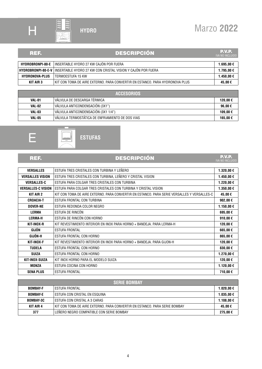

 $282$  $\sqrt{\frac{2}{\omega}}$ 

## Marzo **2022**

### REF. DESCRIPCIÓN

**P.V.P.**<br>IVA NO INCLUIDO

| HYDROBRONPI-80-E      | l INSERTABLE HYDRO 27 KW CAJON POR FUERA                                                | 1.695.00 € |
|-----------------------|-----------------------------------------------------------------------------------------|------------|
|                       | <b>HYDROBRONPI-80-E-V</b>   INSERTABLE HYDRO 27 KW CON CRISTAL VISION Y CAJÓN POR FUERA | 1.795.00 € |
| <b>HYDRONOVA-PLUS</b> | TERMOESTUFA 15 KW                                                                       | 1.450.00€  |
| KIT AIR 3             | KIT CON TOMA DE AIRE EXTERNO. PARA CONVERTIR EN ESTANCO. PARA HYDRONOVA PLUS.           | 45.00 €    |

| <b>ACCESORIOS</b> |                                                  |         |
|-------------------|--------------------------------------------------|---------|
| VAL-01            | VÁLVULA DE DESCARGA TÉRMICA                      | 120.00€ |
| VAL-02            | VÁLVULA ANTICONDENSACIÓN (3X1")                  | 96,00€  |
| VAL-03            | VÁLVULA ANTICONDENSACIÓN (3X1 1/4")              | 109.00€ |
| <b>VAL-05</b>     | VÁLVULA TERMOSTÁTICA DE ENFRIAMIENTO DE DOS VIAS | 165.00€ |





### REF. DESCRIPCIÓN

**P.V.P.**<br>IVA NO INCLUIDO

| <b>VERSALLES</b>          | ESTUFA TRES CRISTALES CON TURBINA Y LEÑERO                                                  | 1.320,00 €        |
|---------------------------|---------------------------------------------------------------------------------------------|-------------------|
| <b>VERSALLES VISION</b>   | ESTUFA TRES CRISTALES CON TURBINA, LEÑERO Y CRISTAL VISION                                  | 1.450,00€         |
| <b>VERSALLES-C</b>        | ESTUFA PARA COLGAR TRES CRISTALES CON TURBINA                                               | 1.220,00€         |
| <b>VERSALLES-C VISION</b> | ESTUFA PARA COLGAR TRES CRISTALES CON TURBINA Y CRISTAL VISION                              | 1.350,00€         |
| KIT AIR 2                 | KIT CON TOMA DE AIRE EXTERNO. PARA CONVERTIR EN ESTANCO. PARA SERIE VERSALLES Y VERSALLES-C | 45,00€            |
| <b>CROACIA-T</b>          | ESTUFA FRONTAL CON TURBINA                                                                  | 902,00 $\epsilon$ |
| <b>DOVER-NE</b>           | ESTUFA REDONDA COLOR NEGRO                                                                  | 1.150,00€         |
| <b>LERMA</b>              | ESTUFA DE RINCÓN                                                                            | 695,00€           |
| <b>LERMA-H</b>            | ESTUFA DE RINCÓN CON HORNO                                                                  | 910,00€           |
| KIT-INOX-R                | KIT REVESTIMIENTO INTERIOR EN INOX PARA HORNO + BANDEJA. PARA LERMA-H                       | 120,00€           |
| GIJÓN                     | <b>ESTUFA FRONTAL</b>                                                                       | 665,00€           |
| GIJÓN-H                   | ESTUFA FRONTAL CON HORNO                                                                    | 865,00€           |
| KIT-INOX-F                | KIT REVESTIMIENTO INTERIOR EN INOX PARA HORNO + BANDEJA. PARA GIJON-H                       | 120,00€           |
| <b>TUDELA</b>             | ESTUFA FRONTAL CON HORNO                                                                    | 830,00€           |
| <b>SUIZA</b>              | ESTUFA FRONTAL CON HORNO                                                                    | 1.270,00 €        |
| KIT-INOX-SUIZA            | KIT INOX HORNO PARA EL MODELO SUIZA                                                         | 120,00€           |
| MONZA                     | ESTUFA COCINA CON HORNO                                                                     | 1.120,00 €        |
| <b>SENA PLUS</b>          | <b>ESTUFA FRONTAL</b>                                                                       | 710,00€           |

| <b><i>SERIE BOMBAY</i></b> |                                                                            |            |
|----------------------------|----------------------------------------------------------------------------|------------|
| <b>BOMBAY-F</b>            | I ESTUFA FRONTAL                                                           | 1.020,00 € |
| <b>BOMBAY-E</b>            | I ESTUFA CON CRISTAL EN ESQUINA                                            | 1.035,00 € |
| BOMBAY-3C                  | ESTUFA CON CRISTAL A 3 CARAS                                               | 1.108,00 € |
| <b>KIT AIR 4</b>           | KIT CON TOMA DE AIRE EXTERNO. PARA CONVERTIR EN ESTANCO. PARA SERIE BOMBAY | 45.00€     |
| 377                        | LENERO NEGRO COMPATIBLE CON SERIE BOMBAY                                   | 275,00€    |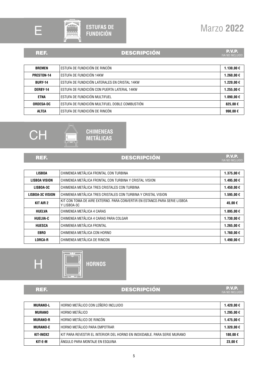



### REF. DESCRIPCIÓN

**P.V.P.**<br>IVA NO INCLUIDO

| <b>BREMEN</b>    | ESTUFA DE FUNDICIÓN DE RINCÓN                  | 1.130,00€    |
|------------------|------------------------------------------------|--------------|
| PRESTON-14       | ESTUFA DE FUNDICIÓN 14KW                       | 1.260,00€    |
| <b>BURY-14</b>   | ESTUFA DE FUNDICIÓN LATERALES EN CRISTAL 14KW  | 1.220,00€    |
| DERBY-14         | ESTUFA DE FUNDICIÓN CON PUERTA LATERAL 14KW    | 1.255.00€    |
| <b>ETNA</b>      | ESTUFA DE FUNDICIÓN MULTIFUEL                  | 1.090.00 €   |
| <b>ORDESA-DC</b> | ESTUFA DE FUNDICIÓN MULTIFUEL DOBLE COMBUSTIÓN | 825,00€      |
| <b>ALTEA</b>     | ESTUFA DE FUNDICIÓN DE RINCÓN                  | 990.00 $\in$ |



### $\overline{\mathbf{u}}$ **CHIMENEAS METÁLICAS**

### REF. DESCRIPCIÓN

**P.V.P.**<br>IVA NO INCLUIDO

| <b>LISBOA</b>           | CHIMENEA METÁLICA FRONTAL CON TURBINA                                                    | 1.375,00€  |
|-------------------------|------------------------------------------------------------------------------------------|------------|
| <b>LISBOA VISION</b>    | CHIMENEA METÁLICA FRONTAL CON TURBINA Y CRISTAL VISION                                   | 1.495,00€  |
| LISBOA-3C               | CHIMENEA METÁLICA TRES CRISTALES CON TURBINA                                             | 1.450,00€  |
| <b>LISBOA-3C VISION</b> | CHIMENEA METÁLICA TRES CRISTALES CON TURBINA Y CRISTAL VISION                            | 1.595,00€  |
| KIT AIR 2               | KIT CON TOMA DE AIRE EXTERNO. PARA CONVERTIR EN ESTANCO PARA SERIE LISBOA<br>Y LISBOA-3C | 45,00€     |
| <b>HUELVA</b>           | CHIMENEA METÁLICA 4 CARAS                                                                | 1.895,00€  |
| <b>HUELVA-C</b>         | CHIMENEA METÁLICA 4 CARAS PARA COLGAR                                                    | 1.730,00€  |
| <b>HUESCA</b>           | CHIMENEA METÁLICA FRONTAL                                                                | 1.265,00€  |
| <b>EBRO</b>             | CHIMENEA METÁLICA CON HORNO                                                              | 1.760,00 € |
| <b>LORCA-R</b>          | CHIMENEA METÁLICA DE RINCON                                                              | 1.490.00€  |





### REF. DESCRIPCIÓN

**P.V.P.**<br>IVA NO INCLUIDO

| <b>MURANO-L</b> | ' HORNO METÁLICO CON LEÑERO INCLUIDO                                     | 1.420.00 € |
|-----------------|--------------------------------------------------------------------------|------------|
| MURANO          | HORNO METÁLICO                                                           | 1.295.00€  |
| <b>MURANO-R</b> | HORNO METÁLICO DE RINCÓN                                                 | 1.475.00 € |
| <b>MURANO-E</b> | HORNO METÁLICO PARA EMPOTRAR                                             | 1.320.00 € |
| KIT-INOX2       | KIT PARA REVESTIR EL INTERIOR DEL HORNO EN INOXIDABLE. PARA SERIE MURANO | 180.00€    |
| KIT-E-M         | ÁNGULO PARA MONTAJE EN ESQUINA                                           | 23.00 €    |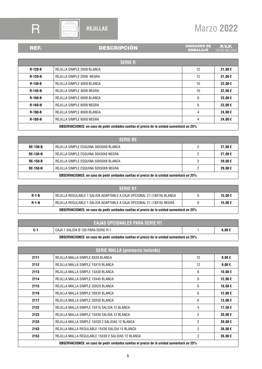

## R  $\bigoplus$  REJILLAS Marzo 2022

### REF. DESCRIPCI

| ON |  |  |
|----|--|--|
|    |  |  |

**NIDADES DE P.V.P.**<br>EMBALAJE IVA NO INCLUIDO

| <b>SERIE R</b>                                                                           |                            |    |         |
|------------------------------------------------------------------------------------------|----------------------------|----|---------|
| $R-120-B$                                                                                | REJILLA SIMPLE 20X8 BLANCA | 12 | 21,00€  |
| <b>R-120-N</b>                                                                           | REJILLA SIMPLE 20X8 NEGRA  | 12 | 21,00€  |
| <b>R-140-B</b>                                                                           | REJILLA SIMPLE 40X8 BLANCA | 10 | 22,00€  |
| <b>R-140-N</b>                                                                           | REJILLA SIMPLE 40X8 NEGRA  | 10 | 22,00€  |
| $R-160-B$                                                                                | REJILLA SIMPLE 60X8 BLANCA | 6  | 23.00 € |
| <b>R-160-N</b>                                                                           | REJILLA SIMPLE 60X8 NEGRA  | 6  | 23,00 € |
| <b>R-180-B</b>                                                                           | REJILLA SIMPLE 80X8 BLANCA | 4  | 24,00€  |
| <b>R-180-N</b>                                                                           | REJILLA SIMPLE 80X8 NEGRA  | 4  | 24.00€  |
| OBSERVACIONES: en caso de pedir unidades sueltas el precio de la unidad aumentará un 25% |                            |    |         |

|                                                                                          | <b>SERIE RE</b>                       |  |         |
|------------------------------------------------------------------------------------------|---------------------------------------|--|---------|
| <b>RE-130-B</b>                                                                          | REJILLA SIMPLE ESQUINA 30X30X8 BLANCA |  | 27.00€  |
| <b>RE-130-N</b>                                                                          | REJILLA SIMPLE ESQUINA 30X30X8 NEGRA  |  | 27,00 € |
| <b>RE-150-B</b>                                                                          | REJILLA SIMPLE ESQUINA 50X50X8 BLANCA |  | 29.00 € |
| <b>RE-150-N</b>                                                                          | REJILLA SIMPLE ESQUINA 50X50X8 NEGRA  |  | 29.00 € |
| 0BSERVACIONES: en caso de pedir unidades sueltas el precio de la unidad aumentará un 25% |                                       |  |         |

|                                                                                                 | <b>SERIE R1</b>                                                        |  |        |
|-------------------------------------------------------------------------------------------------|------------------------------------------------------------------------|--|--------|
| <b>R-1-B</b>                                                                                    | REJILLA REGULABLE 1 SALIDA ADAPTABLE A CAJA OPCIONAL C1 (18X18) BLANCA |  | 15.00€ |
| <b>R-1-N</b>                                                                                    | REJILLA REGULABLE 1 SALIDA ADAPTABLE A CAJA OPCIONAL C1 (18X18) NEGRA  |  | 15.00€ |
| <b>OBSERVACIONES:</b> en caso de pedir unidades sueltas el precio de la unidad aumentará un 25% |                                                                        |  |        |

| <b>CAJAS OPCIONALES PARA SERIE R1</b>                                                    |                                    |  |            |
|------------------------------------------------------------------------------------------|------------------------------------|--|------------|
| C-1                                                                                      | CAJA 1 SALIDA Ø 120 PARA SERIE R-1 |  | $6.00 \in$ |
| 0BSERVACIONES: en caso de pedir unidades sueltas el precio de la unidad aumentará un 25% |                                    |  |            |

|                                                                                          | <b>SERIE MALLA (premarco incluido)</b>            |                |            |
|------------------------------------------------------------------------------------------|---------------------------------------------------|----------------|------------|
| 2111                                                                                     | REJILLA MALLA SIMPLE 8X20 BLANCA                  | 12             | $9.00 \in$ |
| 2112                                                                                     | REJILLA MALLA SIMPLE 15X15 BLANCA                 | 12             | 9,00€      |
| 2113                                                                                     | REJILLA MALLA SIMPLE 15X30 BLANCA                 | 6              | 10,00 €    |
| 2114                                                                                     | REJILLA MALLA SIMPLE 15X45 BLANCA                 | 6              | 12,00€     |
| 2115                                                                                     | REJILLA MALLA SIMPLE 20X20 BLANCA                 | 6              | 10,00€     |
| 2116                                                                                     | REJILLA MALLA SIMPLE 20X35 BLANCA                 | 6              | 12,00€     |
| 2117                                                                                     | REJILLA MALLA SIMPLE 20X50 BLANCA                 | 6              | 13,00€     |
| 2122                                                                                     | REJILLA MALLA SIMPLE 15X15 SALIDA 12 BLANCA       | 4              | 17,50€     |
| 2123                                                                                     | REJILLA MALLA SIMPLE 15X30 SALIDA 12 BLANCA       | $\overline{2}$ | 20,00 €    |
| 2133                                                                                     | REJILLA MALLA SIMPLE 15X30 2 SALIDAS 12 BLANCA    | 2              | 20,00€     |
| 2143                                                                                     | REJILLA MALLA REGULABLE 15X30 SALIDA 12 BLANCA    | $\overline{2}$ | 26,00€     |
| 2153                                                                                     | REJILLA MALLA REGULABLE 15X30 2 SALIDAS 12 BLANCA | $\overline{2}$ | 26,00€     |
| 0BSERVACIONES: en caso de pedir unidades sueltas el precio de la unidad aumentará un 25% |                                                   |                |            |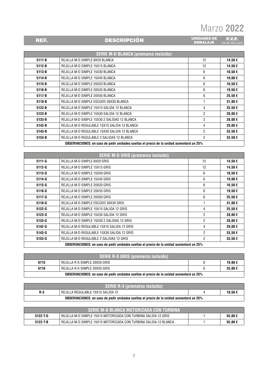**P.V.P.**<br>IVA NO INCLUIDO

UNIDADES DE<br>EMBALAJE

|            | <b>SERIE M-D BLANCA (premarco incluido)</b>  |                |        |
|------------|----------------------------------------------|----------------|--------|
| $5111 - B$ | REJILLA M-D SIMPLE 8X20 BLANCA               | 12             | 14,50€ |
| $5112 - B$ | REJILLA M-D SIMPLE 15X15 BLANCA              | 12             | 14,50€ |
| 5113-B     | REJILLA M-D SIMPLE 15X30 BLANCA              | 6              | 18,50€ |
| 5114-B     | REJILLA M-D SIMPLE 15X45 BLANCA              | 6              | 19,00€ |
| $5115 - B$ | REJILLA M-D SIMPLE 20X20 BLANCA              | 6              | 16,50€ |
| 5116-B     | REJILLA M-D SIMPLE 20X35 BLANCA              | 6              | 19,50€ |
| 5117-B     | REJILLA M-D SIMPLE 20X50 BLANCA              | 6              | 25,50€ |
| 5118-B     | REJILLA M-D SIMPLE ESCUDO 30X30 BLANCA       |                | 31,00€ |
| 5122-B     | REJILLA M-D SIMPLE 15X15 SALIDA 12 BLANCA    | 4              | 25,50€ |
| 5123-B     | REJILLA M-D SIMPLE 15X30 SALIDA 12 BLANCA    | $\overline{2}$ | 28,00€ |
| 5133-B     | REJILLA M-D SIMPLE 15X30 2 SALIDAS 12 BLANCA | 2              | 28,00€ |
| 5142-B     | REJILLA M-D REGULABLE 15X15 SALIDA 12 BLANCA | 4              | 29,00€ |
| 5143-B     | REJILLA M-D REGULABLE 15X30 SALIDA 12 BLANCA | $\overline{2}$ | 33,50€ |
| 5153-B     | REJILLA M-D REGULABLE 2 SALIDAS 12 BLANCA    | $\overline{2}$ | 33,50€ |

REF. DESCRIPCIÓN

**OBSERVACIONES: en caso de pedir unidades sueltas el precio de la unidad aumentará un 25%**

|                                                                                          | <b>SERIE M-D GRIS (premarco incluido)</b>  |                |         |
|------------------------------------------------------------------------------------------|--------------------------------------------|----------------|---------|
| $5111 - G$                                                                               | REJILLA M-D SIMPLE 8X20 GRIS               | 12             | 14,50€  |
| $5112-G$                                                                                 | REJILLA M-D SIMPLE 15X15 GRIS              | 12             | 14,50€  |
| $5113-G$                                                                                 | REJILLA M-D SIMPLE 15X30 GRIS              | 6              | 18,50€  |
| 5114-G                                                                                   | REJILLA M-D SIMPLE 15X45 GRIS              | 6              | 19,00€  |
| $5115-G$                                                                                 | REJILLA M-D SIMPLE 20X20 GRIS              | 6              | 16,50€  |
| 5116-G                                                                                   | REJILLA M-D SIMPLE 20X35 GRIS              | 6              | 19,50€  |
| $5117-G$                                                                                 | REJILLA M-D SIMPLE 20X50 GRIS              | 6              | 25,50€  |
| $5118-G$                                                                                 | REJILLA M-D SIMPLE ESCUDO 30X30 GRIS       |                | 31,00€  |
| $5122 - G$                                                                               | REJILLA M-D SIMPLE 15X15 SALIDA 12 GRIS    | 4              | 25,50€  |
| 5123-G                                                                                   | REJILLA M-D SIMPLE 15X30 SALIDA 12 GRIS    | 2              | 28,00€  |
| 5133-G                                                                                   | REJILLA M-D SIMPLE 15X30 2 SALIDAS 12 GRIS | $\overline{2}$ | 28,00€  |
| 5142-G                                                                                   | REJILLA M-D REGULABLE 15X15 SALIDA 12 GRIS | 4              | 29,00 € |
| $5143-G$                                                                                 | REJILLA M-D REGULABLE 15X30 SALIDA 12 GRIS | 2              | 33,50€  |
| 5153-G                                                                                   | REJILLA M-D REGULABLE 2 SALIDAS 12 GRIS    | 2              | 33,50€  |
| 0BSERVACIONES: en caso de pedir unidades sueltas el precio de la unidad aumentará un 25% |                                            |                |         |

| <b>SERIE R-S GRIS (premarco incluido)</b>                                                       |                               |  |         |
|-------------------------------------------------------------------------------------------------|-------------------------------|--|---------|
| 6115                                                                                            | REJILLA R-S SIMPLE 20X20 GRIS |  | 19.00 € |
| 6116                                                                                            | REJILLA R-S SIMPLE 20X35 GRIS |  | 25.00€  |
| <b>OBSERVACIONES:</b> en caso de pedir unidades sueltas el precio de la unidad aumentará un 25% |                               |  |         |

| <b>SERIE R-3 (premarco incluido)</b>                                                            |                                   |  |        |
|-------------------------------------------------------------------------------------------------|-----------------------------------|--|--------|
| R-3                                                                                             | REJILLA REGULABLE 15X15 SALIDA 12 |  | 18.50€ |
| <b>OBSERVACIONES:</b> en caso de pedir unidades sueltas el precio de la unidad aumentará un 25% |                                   |  |        |

| SERIE M-D BLANCA MOTORIZADA CON TURBINA' |                                                                  |  |        |  |
|------------------------------------------|------------------------------------------------------------------|--|--------|--|
| $5122 - T - G$                           | REJILLA M-D SIMPLE 15X15 MOTORIZADA CON TURBINA SALIDA 12 GRIS   |  | 55.00€ |  |
| $5122 - T - B$                           | REJILLA M-D SIMPLE 15X15 MOTORIZADA CON TURBINA SALIDA 12 BLANCA |  | 55.00€ |  |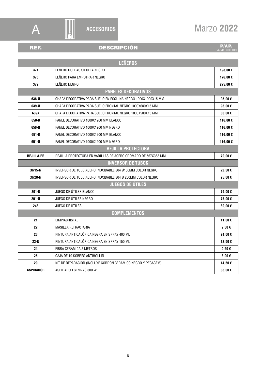

### **ACCESORIOS**

## REF. DESCRIPCIÓN

**P.V.P.**<br>IVA NO INCLUIDO

| <b>LEÑEROS</b>             |                                                               |             |  |
|----------------------------|---------------------------------------------------------------|-------------|--|
| 371                        | LEÑERO RUEDAS SILUETA NEGRO                                   | 198,00€     |  |
| 376                        | LEÑERO PARA EMPOTRAR NEGRO                                    | 176,00€     |  |
| 377                        | LEÑERO NEGRO                                                  | 275,00€     |  |
| <b>PANELES DECORATIVOS</b> |                                                               |             |  |
| 638-N                      | CHAPA DECORATIVA PARA SUELO EN ESQUINA NEGRO 1000X1000X15 MM  | 95,00€      |  |
| 639-N                      | CHAPA DECORATIVA PARA SUELO FRONTAL NEGRO 1000X680X15 MM      | 95,00€      |  |
| 639A                       | CHAPA DECORATIVA PARA SUELO FRONTAL NEGRO 1000X500X15 MM      | 80,00 $\in$ |  |
| 650-B                      | PANEL DECORATIVO 1000X1200 MM BLANCO                          | 116,00€     |  |
| 650-N                      | PANEL DECORATIVO 1000X1200 MM NEGRO                           | 116,00€     |  |
| 651-B                      | PANEL DECORATIVO 1000X1200 MM BLANCO                          | 116,00€     |  |
| 651-N                      | PANEL DECORATIVO 1000X1200 MM NEGRO                           | 116,00€     |  |
| <b>REJILLA PROTECTORA</b>  |                                                               |             |  |
| <b>REJILLA-PR</b>          | REJILLA PROTECTORA EN VARILLAS DE ACERO CROMADO DE 567X368 MM | 70,00€      |  |
| <b>INVERSOR DE TUBOS</b>   |                                                               |             |  |
| <b>XN15-N</b>              | INVERSOR DE TUBO ACERO INOXIDABLE 304 Ø150MM COLOR NEGRO      | 22,50€      |  |
| <b>XN20-N</b>              | INVERSOR DE TUBO ACERO INOXIDABLE 304 Ø 200MM COLOR NEGRO     | 25,00€      |  |
| <b>JUEGOS DE ÚTILES</b>    |                                                               |             |  |
| $201 - B$                  | JUEGO DE ÚTILES BLANCO                                        | 75,00€      |  |
| $201-N$                    | JUEGO DE ÚTILES NEGRO                                         | 75,00€      |  |
| 243                        | JUEGO DE ÚTILES                                               | 30,00€      |  |
| <b>COMPLEMENTOS</b>        |                                                               |             |  |
| 21                         | LIMPIACRISTAL                                                 | 11,00€      |  |
| 22                         | MASILLA REFRACTARIA                                           | $9,50 \in$  |  |
| 23                         | PINTURA ANTICALÓRICA NEGRA EN SPRAY 400 ML                    | 24,00€      |  |
| $23-N$                     | PINTURA ANTICALÓRICA NEGRA EN SPRAY 150 ML                    | 12,50€      |  |
| 24                         | FIBRA CERÁMICA 2 METROS                                       | $9,50 \in$  |  |
| 25                         | CAJA DE 10 SOBRES ANTIHOLLÍN                                  | $8,00 \in$  |  |
| 29                         | KIT DE REPARACIÓN (INCLUYE CORDÓN CERÁMICO NEGRO Y PEGACEM)   | 14,50€      |  |
| <b>ASPIRADOR</b>           | ASPIRADOR CENIZAS 800 W                                       | 85,00€      |  |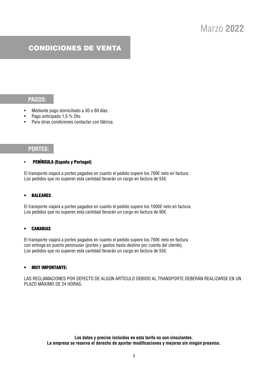### CONDICIONES DE VENTA

### **PAGOS:**

- Mediante pago domiciliado a 30 o 60 días.
- Pago anticipado 1,5 % Dto.
- Para otras condiciones contactar con fábrica.

### **PORTES:**

### • PENÍNSULA (España y Portugal)

El transporte viajará a portes pagados en cuanto el pedido supere los 700€ neto en factura. Los pedidos que no superen esta cantidad llevarán un cargo en factura de 55€.

### **BALEARES**

El transporte viajará a portes pagados en cuanto el pedido supere los 1000€ neto en factura. Los pedidos que no superen esta cantidad llevarán un cargo en factura de 90€.

### **CANARIAS**

El transporte viajará a portes pagados en cuanto el pedido supere los 700€ neto en factura con entrega en puerto peninsular (portes y gastos hasta destino por cuenta del cliente). Los pedidos que no superen esta cantidad llevarán un cargo en factura de 55€.

### • MUY IMPORTANTE:

LAS RECLAMACIONES POR DEFECTO DE ALGÚN ARTÍCULO DEBIDO AL TRANSPORTE DEBERÁN REALIZARSE EN UN PLAZO MÁXIMO DE 24 HORAS.

> **Los datos y precios incluidos en esta tarifa no son vinculantes. La empresa se reserva el derecho de aportar modificaciones y mejoras sin ningún preaviso.**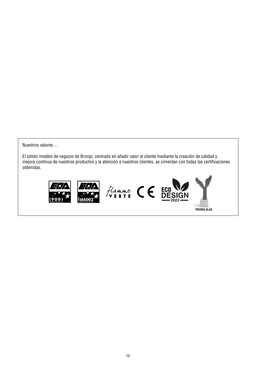Nuestros valores…

El sólido modelo de negocio de Bronpi, centrado en añadir valor al cliente mediante la creación de calidad y mejora continua de nuestros productos y la atención a nuestros clientes, se cimentan con todas las certificaciones obtenidas.



**PREMIO ALAS**